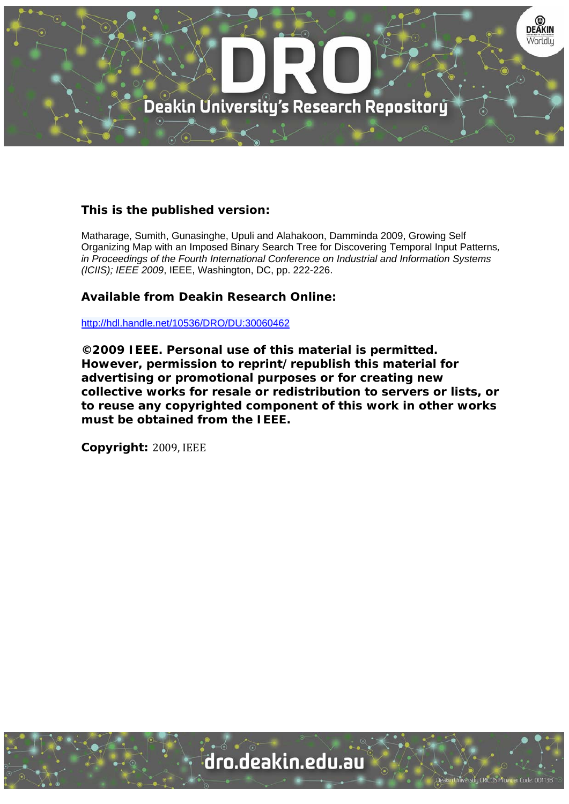

# **This is the published version:**

Matharage, Sumith, Gunasinghe, Upuli and Alahakoon, Damminda 2009, Growing Self Organizing Map with an Imposed Binary Search Tree for Discovering Temporal Input Patterns*, in Proceedings of the Fourth International Conference on Industrial and Information Systems (ICIIS); IEEE 2009*, IEEE, Washington, DC, pp. 222-226.

# **Available from Deakin Research Online:**

http://hdl.handle.net/10536/DRO/DU:30060462

**©2009 IEEE. Personal use of this material is permitted. However, permission to reprint/republish this material for advertising or promotional purposes or for creating new collective works for resale or redistribution to servers or lists, or to reuse any copyrighted component of this work in other works must be obtained from the IEEE.** 

**Copyright: 2009, IEEE** 

University CRICOS Provider Code: 00113E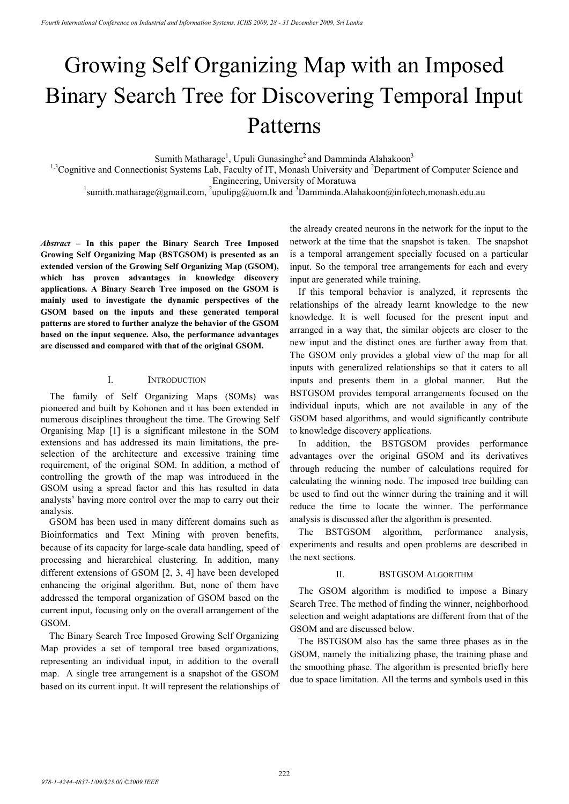# Growing Self Organizing Map with an Imposed Binary Search Tree for Discovering Temporal Input Patterns

Sumith Matharage<sup>1</sup>, Upuli Gunasinghe<sup>2</sup> and Damminda Alahakoon<sup>3</sup>

<sup>1,3</sup>Cognitive and Connectionist Systems Lab, Faculty of IT, Monash University and <sup>2</sup>Department of Computer Science and Engineering, University of Moratuwa<br>
<sup>1</sup>sumith.matharage@gmail.com, <sup>2</sup>upulipg@uom.lk and <sup>3</sup>Damminda.Alahakoon@infotech.monash.edu.au

*Abstract* **– In this paper the Binary Search Tree Imposed Growing Self Organizing Map (BSTGSOM) is presented as an extended version of the Growing Self Organizing Map (GSOM), which has proven advantages in knowledge discovery applications. A Binary Search Tree imposed on the GSOM is mainly used to investigate the dynamic perspectives of the GSOM based on the inputs and these generated temporal patterns are stored to further analyze the behavior of the GSOM based on the input sequence. Also, the performance advantages are discussed and compared with that of the original GSOM.** 

#### I. INTRODUCTION

The family of Self Organizing Maps (SOMs) was pioneered and built by Kohonen and it has been extended in numerous disciplines throughout the time. The Growing Self Organising Map [1] is a significant milestone in the SOM extensions and has addressed its main limitations, the preselection of the architecture and excessive training time requirement, of the original SOM. In addition, a method of controlling the growth of the map was introduced in the GSOM using a spread factor and this has resulted in data analysts' having more control over the map to carry out their analysis.

GSOM has been used in many different domains such as Bioinformatics and Text Mining with proven benefits, because of its capacity for large-scale data handling, speed of processing and hierarchical clustering. In addition, many different extensions of GSOM [2, 3, 4] have been developed enhancing the original algorithm. But, none of them have addressed the temporal organization of GSOM based on the current input, focusing only on the overall arrangement of the GSOM.

The Binary Search Tree Imposed Growing Self Organizing Map provides a set of temporal tree based organizations, representing an individual input, in addition to the overall map. A single tree arrangement is a snapshot of the GSOM based on its current input. It will represent the relationships of

the already created neurons in the network for the input to the network at the time that the snapshot is taken. The snapshot is a temporal arrangement specially focused on a particular input. So the temporal tree arrangements for each and every input are generated while training.

If this temporal behavior is analyzed, it represents the relationships of the already learnt knowledge to the new knowledge. It is well focused for the present input and arranged in a way that, the similar objects are closer to the new input and the distinct ones are further away from that. The GSOM only provides a global view of the map for all inputs with generalized relationships so that it caters to all inputs and presents them in a global manner. But the BSTGSOM provides temporal arrangements focused on the individual inputs, which are not available in any of the GSOM based algorithms, and would significantly contribute to knowledge discovery applications.

In addition, the BSTGSOM provides performance advantages over the original GSOM and its derivatives through reducing the number of calculations required for calculating the winning node. The imposed tree building can be used to find out the winner during the training and it will reduce the time to locate the winner. The performance analysis is discussed after the algorithm is presented.

The BSTGSOM algorithm, performance analysis, experiments and results and open problems are described in the next sections.

#### II. BSTGSOM ALGORITHM

The GSOM algorithm is modified to impose a Binary Search Tree. The method of finding the winner, neighborhood selection and weight adaptations are different from that of the GSOM and are discussed below.

The BSTGSOM also has the same three phases as in the GSOM, namely the initializing phase, the training phase and the smoothing phase. The algorithm is presented briefly here due to space limitation. All the terms and symbols used in this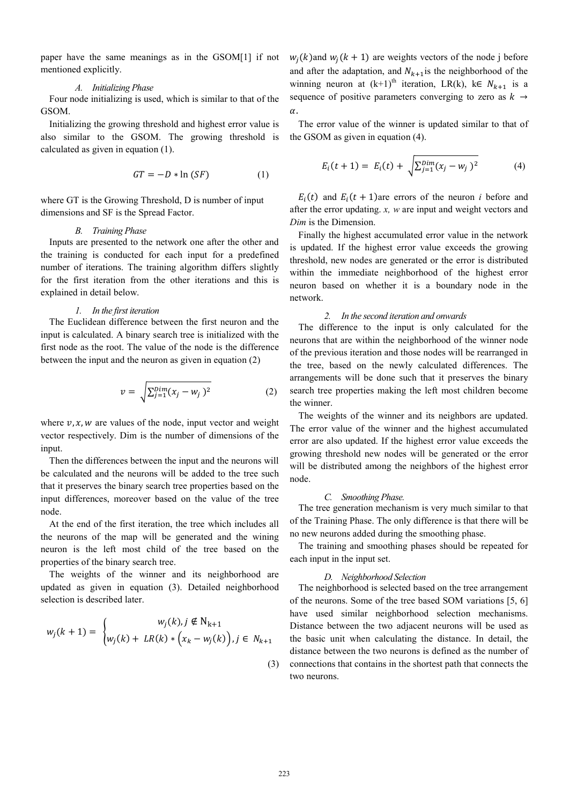paper have the same meanings as in the GSOM[1] if not mentioned explicitly.

#### *A. Initializing Phase*

Four node initializing is used, which is similar to that of the GSOM.

Initializing the growing threshold and highest error value is also similar to the GSOM. The growing threshold is calculated as given in equation (1).

$$
GT = -D * \ln (SF) \tag{1}
$$

where GT is the Growing Threshold, D is number of input dimensions and SF is the Spread Factor.

#### *B. Training Phase*

Inputs are presented to the network one after the other and the training is conducted for each input for a predefined number of iterations. The training algorithm differs slightly for the first iteration from the other iterations and this is explained in detail below.

## *1. In the first iteration*

The Euclidean difference between the first neuron and the input is calculated. A binary search tree is initialized with the first node as the root. The value of the node is the difference between the input and the neuron as given in equation (2)

$$
v = \sqrt{\sum_{j=1}^{Dim} (x_j - w_j)^2}
$$
 (2)

where  $v, x, w$  are values of the node, input vector and weight vector respectively. Dim is the number of dimensions of the input.

Then the differences between the input and the neurons will be calculated and the neurons will be added to the tree such that it preserves the binary search tree properties based on the input differences, moreover based on the value of the tree node.

At the end of the first iteration, the tree which includes all the neurons of the map will be generated and the wining neuron is the left most child of the tree based on the properties of the binary search tree.

The weights of the winner and its neighborhood are updated as given in equation (3). Detailed neighborhood selection is described later.

$$
w_j(k+1) = \begin{cases} w_j(k), j \notin N_{k+1} \\ w_j(k) + LR(k) * (x_k - w_j(k)), j \in N_{k+1} \end{cases}
$$
(3)

 $w_i(k)$  and  $w_i(k + 1)$  are weights vectors of the node j before and after the adaptation, and  $N_{k+1}$  is the neighborhood of the winning neuron at  $(k+1)$ <sup>th</sup> iteration, LR(k), k $\in N_{k+1}$  is a sequence of positive parameters converging to zero as  $k \rightarrow$  $\alpha$ .

The error value of the winner is updated similar to that of the GSOM as given in equation (4).

$$
E_i(t+1) = E_i(t) + \sqrt{\sum_{j=1}^{Dim} (x_j - w_j)^2}
$$
 (4)

 $E_i(t)$  and  $E_i(t+1)$ are errors of the neuron *i* before and after the error updating. *x, w* are input and weight vectors and *Dim* is the Dimension.

Finally the highest accumulated error value in the network is updated. If the highest error value exceeds the growing threshold, new nodes are generated or the error is distributed within the immediate neighborhood of the highest error neuron based on whether it is a boundary node in the network.

#### *2. In the second iteration and onwards*

The difference to the input is only calculated for the neurons that are within the neighborhood of the winner node of the previous iteration and those nodes will be rearranged in the tree, based on the newly calculated differences. The arrangements will be done such that it preserves the binary search tree properties making the left most children become the winner.

The weights of the winner and its neighbors are updated. The error value of the winner and the highest accumulated error are also updated. If the highest error value exceeds the growing threshold new nodes will be generated or the error will be distributed among the neighbors of the highest error node.

#### *C. Smoothing Phase.*

The tree generation mechanism is very much similar to that of the Training Phase. The only difference is that there will be no new neurons added during the smoothing phase.

The training and smoothing phases should be repeated for each input in the input set.

#### *D. Neighborhood Selection*

The neighborhood is selected based on the tree arrangement of the neurons. Some of the tree based SOM variations [5, 6] have used similar neighborhood selection mechanisms. Distance between the two adjacent neurons will be used as the basic unit when calculating the distance. In detail, the distance between the two neurons is defined as the number of connections that contains in the shortest path that connects the two neurons.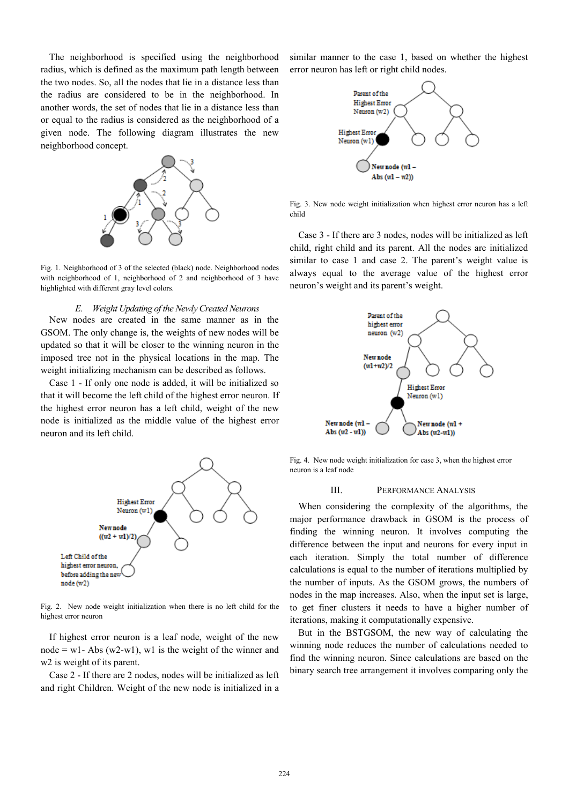The neighborhood is specified using the neighborhood radius, which is defined as the maximum path length between the two nodes. So, all the nodes that lie in a distance less than the radius are considered to be in the neighborhood. In another words, the set of nodes that lie in a distance less than or equal to the radius is considered as the neighborhood of a given node. The following diagram illustrates the new neighborhood concept.



Fig. 1. Neighborhood of 3 of the selected (black) node. Neighborhood nodes with neighborhood of 1, neighborhood of 2 and neighborhood of 3 have highlighted with different gray level colors.

## *E. Weight Updating of the Newly Created Neurons*

New nodes are created in the same manner as in the GSOM. The only change is, the weights of new nodes will be updated so that it will be closer to the winning neuron in the imposed tree not in the physical locations in the map. The weight initializing mechanism can be described as follows.

Case 1 - If only one node is added, it will be initialized so that it will become the left child of the highest error neuron. If the highest error neuron has a left child, weight of the new node is initialized as the middle value of the highest error neuron and its left child.



Fig. 2. New node weight initialization when there is no left child for the highest error neuron

If highest error neuron is a leaf node, weight of the new node = w1- Abs (w2-w1), w1 is the weight of the winner and w2 is weight of its parent.

Case 2 - If there are 2 nodes, nodes will be initialized as left and right Children. Weight of the new node is initialized in a similar manner to the case 1, based on whether the highest error neuron has left or right child nodes.



Fig. 3. New node weight initialization when highest error neuron has a left child

Case 3 - If there are 3 nodes, nodes will be initialized as left child, right child and its parent. All the nodes are initialized similar to case 1 and case 2. The parent's weight value is always equal to the average value of the highest error neuron's weight and its parent's weight.



Fig. 4. New node weight initialization for case 3, when the highest error neuron is a leaf node

#### III. PERFORMANCE ANALYSIS

When considering the complexity of the algorithms, the major performance drawback in GSOM is the process of finding the winning neuron. It involves computing the difference between the input and neurons for every input in each iteration. Simply the total number of difference calculations is equal to the number of iterations multiplied by the number of inputs. As the GSOM grows, the numbers of nodes in the map increases. Also, when the input set is large, to get finer clusters it needs to have a higher number of iterations, making it computationally expensive.

But in the BSTGSOM, the new way of calculating the winning node reduces the number of calculations needed to find the winning neuron. Since calculations are based on the binary search tree arrangement it involves comparing only the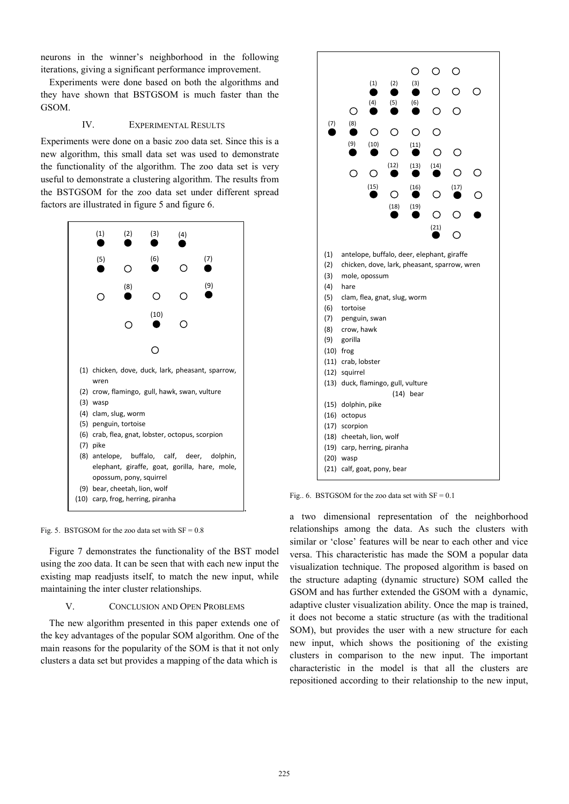neurons in the winner's neighborhood in the following iterations, giving a significant performance improvement.

Experiments were done based on both the algorithms and they have shown that BSTGSOM is much faster than the GSOM.

# IV. EXPERIMENTAL RESULTS

Experiments were done on a basic zoo data set. Since this is a new algorithm, this small data set was used to demonstrate the functionality of the algorithm. The zoo data set is very useful to demonstrate a clustering algorithm. The results from the BSTGSOM for the zoo data set under different spread factors are illustrated in figure 5 and figure 6.



Fig. 5. BSTGSOM for the zoo data set with  $SF = 0.8$ 

Figure 7 demonstrates the functionality of the BST model using the zoo data. It can be seen that with each new input the existing map readjusts itself, to match the new input, while maintaining the inter cluster relationships.

# V. CONCLUSION AND OPEN PROBLEMS

The new algorithm presented in this paper extends one of the key advantages of the popular SOM algorithm. One of the main reasons for the popularity of the SOM is that it not only clusters a data set but provides a mapping of the data which is



Fig.. 6. BSTGSOM for the zoo data set with  $SF = 0.1$ 

a two dimensional representation of the neighborhood relationships among the data. As such the clusters with similar or 'close' features will be near to each other and vice versa. This characteristic has made the SOM a popular data visualization technique. The proposed algorithm is based on the structure adapting (dynamic structure) SOM called the GSOM and has further extended the GSOM with a dynamic, adaptive cluster visualization ability. Once the map is trained, it does not become a static structure (as with the traditional SOM), but provides the user with a new structure for each new input, which shows the positioning of the existing clusters in comparison to the new input. The important characteristic in the model is that all the clusters are repositioned according to their relationship to the new input,